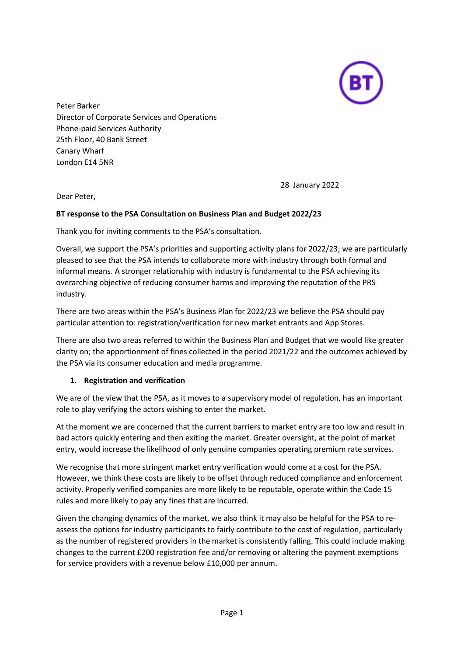

Peter Barker Director of Corporate Services and Operations Phone-paid Services Authority 25th Floor, 40 Bank Street Canary Wharf London E14 5NR

28 January 2022

Dear Peter,

### **BT response to the PSA Consultation on Business Plan and Budget 2022/23**

Thank you for inviting comments to the PSA's consultation.

Overall, we support the PSA's priorities and supporting activity plans for 2022/23; we are particularly pleased to see that the PSA intends to collaborate more with industry through both formal and informal means. A stronger relationship with industry is fundamental to the PSA achieving its overarching objective of reducing consumer harms and improving the reputation of the PRS industry.

There are two areas within the PSA's Business Plan for 2022/23 we believe the PSA should pay particular attention to: registration/verification for new market entrants and App Stores.

There are also two areas referred to within the Business Plan and Budget that we would like greater clarity on; the apportionment of fines collected in the period 2021/22 and the outcomes achieved by the PSA via its consumer education and media programme.

#### **1. Registration and verification**

We are of the view that the PSA, as it moves to a supervisory model of regulation, has an important role to play verifying the actors wishing to enter the market.

At the moment we are concerned that the current barriers to market entry are too low and result in bad actors quickly entering and then exiting the market. Greater oversight, at the point of market entry, would increase the likelihood of only genuine companies operating premium rate services.

We recognise that more stringent market entry verification would come at a cost for the PSA. However, we think these costs are likely to be offset through reduced compliance and enforcement activity. Properly verified companies are more likely to be reputable, operate within the Code 15 rules and more likely to pay any fines that are incurred.

Given the changing dynamics of the market, we also think it may also be helpful for the PSA to reassess the options for industry participants to fairly contribute to the cost of regulation, particularly as the number of registered providers in the market is consistently falling. This could include making changes to the current £200 registration fee and/or removing or altering the payment exemptions for service providers with a revenue below £10,000 per annum.